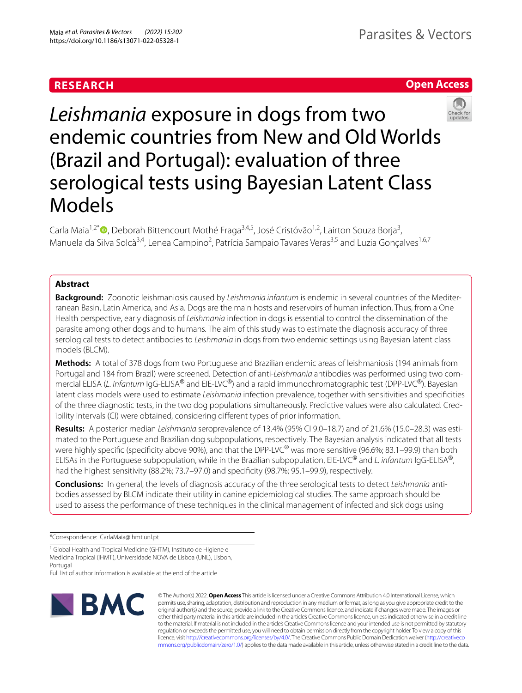# **RESEARCH**





*Leishmania* exposure in dogs from two endemic countries from New and Old Worlds (Brazil and Portugal): evaluation of three serological tests using Bayesian Latent Class Models

Carla Maia<sup>1,2\*</sup>®[,](http://orcid.org/0000-0002-2545-7686) Deborah Bittencourt Mothé Fraga<sup>3,4,5</sup>, José Cristóvão<sup>1,2</sup>, Lairton Souza Borja<sup>3</sup>, Manuela da Silva Solcà<sup>3,4</sup>, Lenea Campino<sup>2</sup>, Patrícia Sampaio Tavares Veras<sup>3,5</sup> and Luzia Gonçalves<sup>1,6,7</sup>

# **Abstract**

**Background:** Zoonotic leishmaniosis caused by *Leishmania infantum* is endemic in several countries of the Mediterranean Basin, Latin America, and Asia. Dogs are the main hosts and reservoirs of human infection. Thus, from a One Health perspective, early diagnosis of *Leishmania* infection in dogs is essential to control the dissemination of the parasite among other dogs and to humans. The aim of this study was to estimate the diagnosis accuracy of three serological tests to detect antibodies to *Leishmania* in dogs from two endemic settings using Bayesian latent class models (BLCM).

**Methods:** A total of 378 dogs from two Portuguese and Brazilian endemic areas of leishmaniosis (194 animals from Portugal and 184 from Brazil) were screened. Detection of anti-*Leishmania* antibodies was performed using two commercial ELISA (*L. infantum* IgG-ELISA® and EIE-LVC®) and a rapid immunochromatographic test (DPP-LVC®). Bayesian latent class models were used to estimate *Leishmania* infection prevalence, together with sensitivities and specifcities of the three diagnostic tests, in the two dog populations simultaneously. Predictive values were also calculated. Credibility intervals (CI) were obtained, considering diferent types of prior information.

**Results:** A posterior median *Leishmania* seroprevalence of 13.4% (95% CI 9.0–18.7) and of 21.6% (15.0–28.3) was estimated to the Portuguese and Brazilian dog subpopulations, respectively. The Bayesian analysis indicated that all tests were highly specific (specificity above 90%), and that the DPP-LVC<sup>®</sup> was more sensitive (96.6%; 83.1–99.9) than both ELISAs in the Portuguese subpopulation, while in the Brazilian subpopulation, EIE-LVC® and *L. infantum* IgG-ELISA®, had the highest sensitivity (88.2%; 73.7–97.0) and specifcity (98.7%; 95.1–99.9), respectively.

**Conclusions:** In general, the levels of diagnosis accuracy of the three serological tests to detect *Leishmania* antibodies assessed by BLCM indicate their utility in canine epidemiological studies. The same approach should be used to assess the performance of these techniques in the clinical management of infected and sick dogs using

\*Correspondence: CarlaMaia@ihmt.unl.pt

<sup>1</sup> Global Health and Tropical Medicine (GHTM), Instituto de Higiene e Medicina Tropical (IHMT), Universidade NOVA de Lisboa (UNL), Lisbon, Portugal

Full list of author information is available at the end of the article



© The Author(s) 2022. **Open Access** This article is licensed under a Creative Commons Attribution 4.0 International License, which permits use, sharing, adaptation, distribution and reproduction in any medium or format, as long as you give appropriate credit to the original author(s) and the source, provide a link to the Creative Commons licence, and indicate if changes were made. The images or other third party material in this article are included in the article's Creative Commons licence, unless indicated otherwise in a credit line to the material. If material is not included in the article's Creative Commons licence and your intended use is not permitted by statutory regulation or exceeds the permitted use, you will need to obtain permission directly from the copyright holder. To view a copy of this licence, visit [http://creativecommons.org/licenses/by/4.0/.](http://creativecommons.org/licenses/by/4.0/) The Creative Commons Public Domain Dedication waiver ([http://creativeco](http://creativecommons.org/publicdomain/zero/1.0/) [mmons.org/publicdomain/zero/1.0/](http://creativecommons.org/publicdomain/zero/1.0/)) applies to the data made available in this article, unless otherwise stated in a credit line to the data.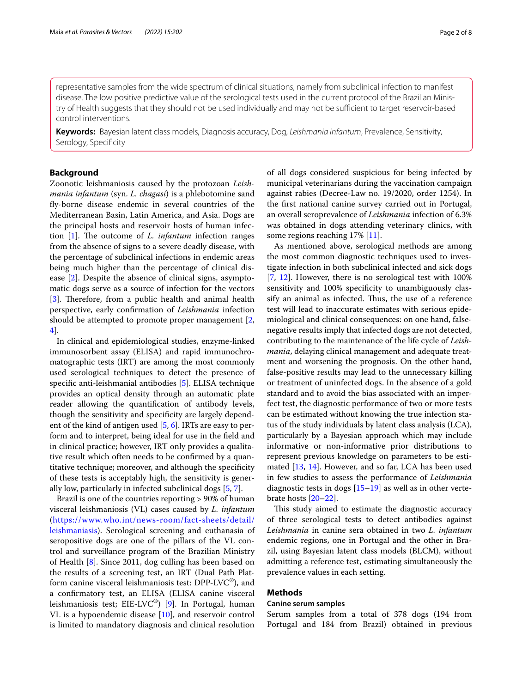representative samples from the wide spectrum of clinical situations, namely from subclinical infection to manifest disease. The low positive predictive value of the serological tests used in the current protocol of the Brazilian Ministry of Health suggests that they should not be used individually and may not be sufficient to target reservoir-based control interventions.

**Keywords:** Bayesian latent class models, Diagnosis accuracy, Dog, *Leishmania infantum*, Prevalence, Sensitivity, Serology, Specificity

# **Background**

Zoonotic leishmaniosis caused by the protozoan *Leishmania infantum* (syn. *L. chagasi*) is a phlebotomine sand fy-borne disease endemic in several countries of the Mediterranean Basin, Latin America, and Asia. Dogs are the principal hosts and reservoir hosts of human infec-tion [[1\]](#page-6-0). The outcome of *L. infantum* infection ranges from the absence of signs to a severe deadly disease, with the percentage of subclinical infections in endemic areas being much higher than the percentage of clinical disease [[2\]](#page-6-1). Despite the absence of clinical signs, asymptomatic dogs serve as a source of infection for the vectors [[3\]](#page-6-2). Therefore, from a public health and animal health perspective, early confrmation of *Leishmania* infection should be attempted to promote proper management [\[2](#page-6-1), [4\]](#page-6-3).

In clinical and epidemiological studies, enzyme-linked immunosorbent assay (ELISA) and rapid immunochromatographic tests (IRT) are among the most commonly used serological techniques to detect the presence of specifc anti-leishmanial antibodies [\[5](#page-6-4)]. ELISA technique provides an optical density through an automatic plate reader allowing the quantifcation of antibody levels, though the sensitivity and specifcity are largely dependent of the kind of antigen used [[5,](#page-6-4) [6\]](#page-6-5). IRTs are easy to perform and to interpret, being ideal for use in the feld and in clinical practice; however, IRT only provides a qualitative result which often needs to be confrmed by a quantitative technique; moreover, and although the specifcity of these tests is acceptably high, the sensitivity is generally low, particularly in infected subclinical dogs [\[5](#page-6-4), [7\]](#page-6-6).

Brazil is one of the countries reporting > 90% of human visceral leishmaniosis (VL) cases caused by *L. infantum* ([https://www.who.int/news-room/fact-sheets/detail/](https://www.who.int/news-room/fact-sheets/detail/leishmaniasis) [leishmaniasis](https://www.who.int/news-room/fact-sheets/detail/leishmaniasis)). Serological screening and euthanasia of seropositive dogs are one of the pillars of the VL control and surveillance program of the Brazilian Ministry of Health [[8\]](#page-6-7). Since 2011, dog culling has been based on the results of a screening test, an IRT (Dual Path Platform canine visceral leishmaniosis test: DPP-LVC®), and a confrmatory test, an ELISA (ELISA canine visceral leishmaniosis test; EIE-LVC®) [\[9](#page-6-8)]. In Portugal, human VL is a hypoendemic disease [\[10\]](#page-6-9), and reservoir control is limited to mandatory diagnosis and clinical resolution of all dogs considered suspicious for being infected by municipal veterinarians during the vaccination campaign against rabies (Decree-Law no. 19/2020, order 1254). In the frst national canine survey carried out in Portugal, an overall seroprevalence of *Leishmania* infection of 6.3% was obtained in dogs attending veterinary clinics, with some regions reaching 17% [[11\]](#page-6-10).

As mentioned above, serological methods are among the most common diagnostic techniques used to investigate infection in both subclinical infected and sick dogs [[7,](#page-6-6) [12\]](#page-6-11). However, there is no serological test with 100% sensitivity and 100% specifcity to unambiguously classify an animal as infected. Thus, the use of a reference test will lead to inaccurate estimates with serious epidemiological and clinical consequences: on one hand, falsenegative results imply that infected dogs are not detected, contributing to the maintenance of the life cycle of *Leishmania*, delaying clinical management and adequate treatment and worsening the prognosis. On the other hand, false-positive results may lead to the unnecessary killing or treatment of uninfected dogs. In the absence of a gold standard and to avoid the bias associated with an imperfect test, the diagnostic performance of two or more tests can be estimated without knowing the true infection status of the study individuals by latent class analysis (LCA), particularly by a Bayesian approach which may include informative or non-informative prior distributions to represent previous knowledge on parameters to be estimated [[13](#page-6-12), [14\]](#page-6-13). However, and so far, LCA has been used in few studies to assess the performance of *Leishmania* diagnostic tests in dogs [\[15](#page-6-14)[–19](#page-7-0)] as well as in other vertebrate hosts [\[20–](#page-7-1)[22\]](#page-7-2).

This study aimed to estimate the diagnostic accuracy of three serological tests to detect antibodies against *Leishmania* in canine sera obtained in two *L. infantum* endemic regions, one in Portugal and the other in Brazil, using Bayesian latent class models (BLCM), without admitting a reference test, estimating simultaneously the prevalence values in each setting.

## **Methods**

#### **Canine serum samples**

Serum samples from a total of 378 dogs (194 from Portugal and 184 from Brazil) obtained in previous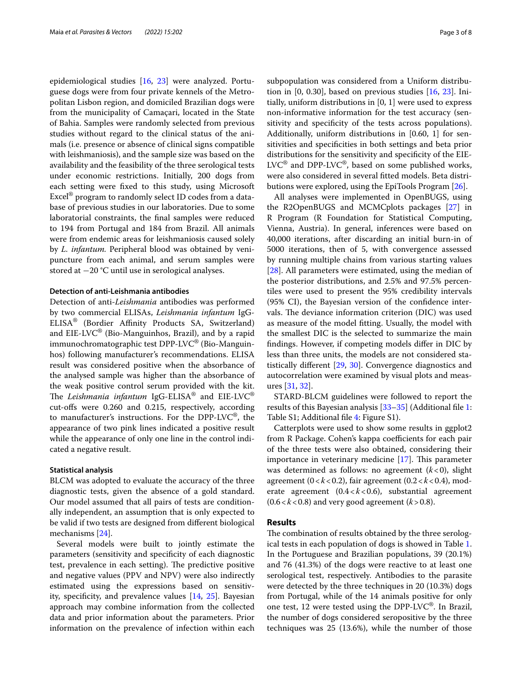epidemiological studies [[16](#page-6-15), [23](#page-7-3)] were analyzed. Portuguese dogs were from four private kennels of the Metropolitan Lisbon region, and domiciled Brazilian dogs were from the municipality of Camaçari, located in the State of Bahia. Samples were randomly selected from previous studies without regard to the clinical status of the animals (i.e. presence or absence of clinical signs compatible with leishmaniosis), and the sample size was based on the availability and the feasibility of the three serological tests under economic restrictions. Initially, 200 dogs from each setting were fxed to this study, using Microsoft Excel® program to randomly select ID codes from a database of previous studies in our laboratories. Due to some laboratorial constraints, the fnal samples were reduced to 194 from Portugal and 184 from Brazil. All animals were from endemic areas for leishmaniosis caused solely by *L. infantum.* Peripheral blood was obtained by venipuncture from each animal, and serum samples were stored at −20 °C until use in serological analyses.

# **Detection of anti‑Leishmania antibodies**

Detection of anti-*Leishmania* antibodies was performed by two commercial ELISAs, *Leishmania infantum* IgG-ELISA® (Bordier Affinity Products SA, Switzerland) and  $EIE-LVC^{\circledast}$  (Bio-Manguinhos, Brazil), and by a rapid immunochromatographic test DPP-LVC® (Bio-Manguinhos) following manufacturer's recommendations. ELISA result was considered positive when the absorbance of the analysed sample was higher than the absorbance of the weak positive control serum provided with the kit. The Leishmania infantum IgG-ELISA® and EIE-LVC® cut-ofs were 0.260 and 0.215, respectively, according to manufacturer's instructions. For the DPP-LVC®, the appearance of two pink lines indicated a positive result while the appearance of only one line in the control indicated a negative result.

#### **Statistical analysis**

BLCM was adopted to evaluate the accuracy of the three diagnostic tests, given the absence of a gold standard. Our model assumed that all pairs of tests are conditionally independent, an assumption that is only expected to be valid if two tests are designed from diferent biological mechanisms [\[24](#page-7-4)].

Several models were built to jointly estimate the parameters (sensitivity and specifcity of each diagnostic test, prevalence in each setting). The predictive positive and negative values (PPV and NPV) were also indirectly estimated using the expressions based on sensitivity, specifcity, and prevalence values [\[14](#page-6-13), [25](#page-7-5)]. Bayesian approach may combine information from the collected data and prior information about the parameters. Prior information on the prevalence of infection within each subpopulation was considered from a Uniform distribution in [0, 0.30], based on previous studies [[16](#page-6-15), [23\]](#page-7-3). Initially, uniform distributions in [0, 1] were used to express non-informative information for the test accuracy (sensitivity and specificity of the tests across populations). Additionally, uniform distributions in [0.60, 1] for sensitivities and specifcities in both settings and beta prior distributions for the sensitivity and specifcity of the EIE- $LVC^{\circledR}$  and DPP-LVC $^{\circledR}$ , based on some published works, were also considered in several ftted models. Beta distributions were explored, using the EpiTools Program [[26](#page-7-6)].

All analyses were implemented in OpenBUGS, using the R2OpenBUGS and MCMCplots packages [[27\]](#page-7-7) in R Program (R Foundation for Statistical Computing, Vienna, Austria). In general, inferences were based on 40,000 iterations, after discarding an initial burn-in of 5000 iterations, then of 5, with convergence assessed by running multiple chains from various starting values [[28\]](#page-7-8). All parameters were estimated, using the median of the posterior distributions, and 2.5% and 97.5% percentiles were used to present the 95% credibility intervals (95% CI), the Bayesian version of the confdence intervals. The deviance information criterion (DIC) was used as measure of the model ftting. Usually, the model with the smallest DIC is the selected to summarize the main fndings. However, if competing models difer in DIC by less than three units, the models are not considered statistically diferent [[29](#page-7-9), [30\]](#page-7-10). Convergence diagnostics and autocorrelation were examined by visual plots and measures [[31](#page-7-11), [32\]](#page-7-12).

STARD-BLCM guidelines were followed to report the results of this Bayesian analysis [[33–](#page-7-13)[35](#page-7-14)] (Additional fle [1](#page-6-16): Table S1; Additional file [4](#page-6-17): Figure S1).

Catterplots were used to show some results in ggplot2 from R Package. Cohen's kappa coefficients for each pair of the three tests were also obtained, considering their importance in veterinary medicine  $[17]$  $[17]$ . This parameter was determined as follows: no agreement (*k*<0), slight agreement (0<*k*<0.2), fair agreement (0.2<*k*<0.4), moderate agreement (0.4<*k*<0.6), substantial agreement  $(0.6 < k < 0.8)$  and very good agreement  $(k > 0.8)$ .

### **Results**

The combination of results obtained by the three serological tests in each population of dogs is showed in Table [1](#page-3-0). In the Portuguese and Brazilian populations, 39 (20.1%) and 76 (41.3%) of the dogs were reactive to at least one serological test, respectively. Antibodies to the parasite were detected by the three techniques in 20 (10.3%) dogs from Portugal, while of the 14 animals positive for only one test, 12 were tested using the DPP-LVC®. In Brazil, the number of dogs considered seropositive by the three techniques was 25 (13.6%), while the number of those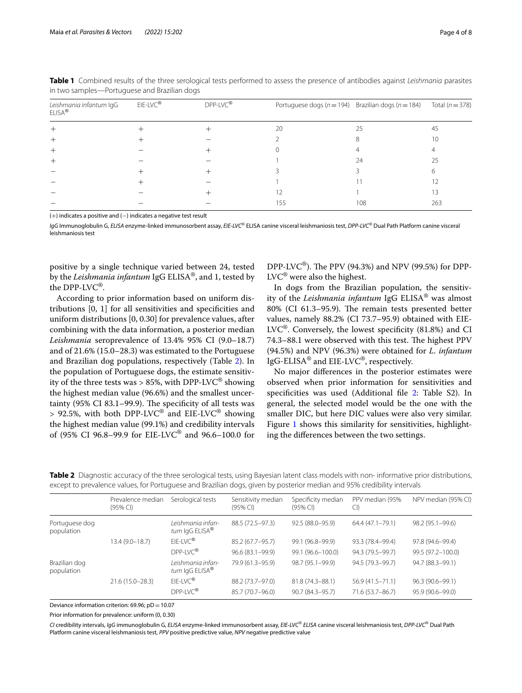| Leishmania infantum IgG<br>ELISA <sup>®</sup> | $EIE-LVC^{\circledR}$ | DPP-LVC® |     | Portuguese dogs ( $n = 194$ ) Brazilian dogs ( $n = 184$ ) | Total ( $n = 378$ ) |
|-----------------------------------------------|-----------------------|----------|-----|------------------------------------------------------------|---------------------|
|                                               |                       |          | 20  | 25                                                         | 45                  |
|                                               |                       |          |     |                                                            | 1 C                 |
|                                               |                       |          |     |                                                            |                     |
|                                               |                       |          |     | 24                                                         | 25                  |
|                                               |                       |          |     |                                                            |                     |
|                                               |                       |          |     |                                                            |                     |
|                                               |                       |          |     |                                                            | 13                  |
|                                               |                       |          | 155 | 108                                                        | 263                 |

<span id="page-3-0"></span>**Table 1** Combined results of the three serological tests performed to assess the presence of antibodies against *Leishmania* parasites in two samples—Portuguese and Brazilian dogs

(+) indicates a positive and (-) indicates a negative test result

*IgG* Immunoglobulin G, *ELISA* enzyme-linked immunosorbent assay, *EIE*-*LVC*® ELISA canine visceral leishmaniosis test, *DPP*-*LVC*® Dual Path Platform canine visceral leishmaniosis test

positive by a single technique varied between 24, tested by the *Leishmania infantum* IgG ELISA®, and 1, tested by the DPP-LVC®.

According to prior information based on uniform distributions [0, 1] for all sensitivities and specifcities and uniform distributions [0, 0.30] for prevalence values, after combining with the data information, a posterior median *Leishmania* seroprevalence of 13.4% 95% CI (9.0–18.7) and of 21.6% (15.0–28.3) was estimated to the Portuguese and Brazilian dog populations, respectively (Table [2](#page-3-1)). In the population of Portuguese dogs, the estimate sensitivity of the three tests was > 85%, with DPP-LVC<sup>®</sup> showing the highest median value (96.6%) and the smallest uncertainty (95% CI 83.1–99.9). The specificity of all tests was  $> 92.5\%$ , with both DPP-LVC<sup>®</sup> and EIE-LVC<sup>®</sup> showing the highest median value (99.1%) and credibility intervals of (95% CI 96.8–99.9 for EIE-LVC® and 96.6–100.0 for DPP-LVC<sup>®</sup>). The PPV (94.3%) and NPV (99.5%) for DPP- $LVC^{\circledR}$  were also the highest.

In dogs from the Brazilian population, the sensitivity of the *Leishmania infantum* IgG ELISA® was almost 80% (CI 61.3–95.9). The remain tests presented better values, namely 88.2% (CI 73.7–95.9) obtained with EIE- $LVC^{\circledR}$ . Conversely, the lowest specificity (81.8%) and CI 74.3–88.1 were observed with this test. The highest PPV (94.5%) and NPV (96.3%) were obtained for *L. infantum* IgG-ELISA® and EIE-LVC®, respectively.

No major diferences in the posterior estimates were observed when prior information for sensitivities and specificities was used (Additional file [2](#page-6-19): Table S2). In general, the selected model would be the one with the smaller DIC, but here DIC values were also very similar. Figure [1](#page-4-0) shows this similarity for sensitivities, highlighting the diferences between the two settings.

<span id="page-3-1"></span>

| Table 2 Diagnostic accuracy of the three serological tests, using Bayesian latent class models with non-informative prior distributions, |  |  |  |  |
|------------------------------------------------------------------------------------------------------------------------------------------|--|--|--|--|
| except to prevalence values, for Portuguese and Brazilian dogs, given by posterior median and 95% credibility intervals                  |  |  |  |  |

|                              | Prevalence median<br>(95% Cl) | Serological tests                               | Sensitivity median<br>(95% Cl) | Specificity median<br>(95% CI) | PPV median (95%<br>CI) | NPV median (95% CI) |
|------------------------------|-------------------------------|-------------------------------------------------|--------------------------------|--------------------------------|------------------------|---------------------|
| Portuguese dog<br>population |                               | Leishmania infan-<br>tum IqG ELISA <sup>®</sup> | 88.5 (72.5-97.3)               | 92.5 (88.0-95.9)               | $64.4(47.1 - 79.1)$    | 98.2 (95.1-99.6)    |
|                              | $13.4(9.0 - 18.7)$            | $F$ IF-IVC®                                     | 85.2 (67.7-95.7)               | 99.1 (96.8-99.9)               | 93.3 (78.4-99.4)       | 97.8 (94.6-99.4)    |
|                              |                               | DPP-IVC®                                        | 96.6 (83.1-99.9)               | 99.1 (96.6-100.0)              | 94.3 (79.5-99.7)       | 99.5 (97.2-100.0)   |
| Brazilian dog<br>population  |                               | Leishmania infan-<br>tum IgG ELISA <sup>®</sup> | 79.9 (61.3-95.9)               | 98.7 (95.1-99.9)               | 94.5 (79.3-99.7)       | 94.7 (88.3-99.1)    |
|                              | 21.6 (15.0-28.3)              | $EIE-LVC^{\circledR}$                           | 88.2 (73.7-97.0)               | 81.8 (74.3-88.1)               | $56.9(41.5 - 71.1)$    | 96.3 (90.6-99.1)    |
|                              |                               | DPP-IVC®                                        | 85.7 (70.7-96.0)               | 90.7 (84.3-95.7)               | 71.6 (53.7-86.7)       | 95.9 (90.6-99.0)    |

Deviance information criterion:  $69.96$ ; pD =  $10.07$ 

Prior information for prevalence: uniform (0, 0.30)

*CI* credibility intervals, *IgG* immunoglobulin G, *ELISA* enzyme-linked immunosorbent assay, *EIE*-*LVC*® *ELISA* canine visceral leishmaniosis test, *DPP*-*LVC*® Dual Path Platform canine visceral leishmaniosis test, *PPV* positive predictive value, *NPV* negative predictive value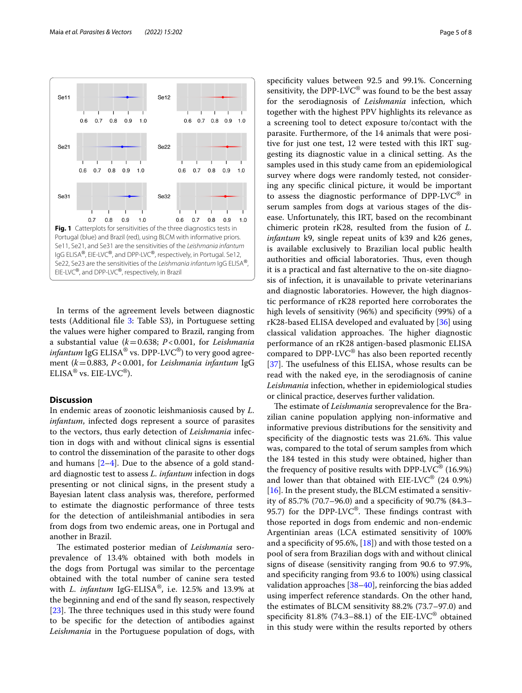

<span id="page-4-0"></span>In terms of the agreement levels between diagnostic tests (Additional fle [3:](#page-6-20) Table S3), in Portuguese setting the values were higher compared to Brazil, ranging from a substantial value (*k*=0.638; *P*<0.001, for *Leishmania infantum* IgG  $ELISA^{\circledast}$  vs. DPP-LVC<sup>®</sup>) to very good agreement (*k*=0.883, *P*<0.001, for *Leishmania infantum* IgG  $ELISA^{\circledR}$  vs.  $EIE-LVC^{\circledR}$ ).

# **Discussion**

In endemic areas of zoonotic leishmaniosis caused by *L. infantum*, infected dogs represent a source of parasites to the vectors, thus early detection of *Leishmania* infection in dogs with and without clinical signs is essential to control the dissemination of the parasite to other dogs and humans  $[2-4]$  $[2-4]$  $[2-4]$ . Due to the absence of a gold standard diagnostic test to assess *L. infantum* infection in dogs presenting or not clinical signs, in the present study a Bayesian latent class analysis was, therefore, performed to estimate the diagnostic performance of three tests for the detection of antileishmanial antibodies in sera from dogs from two endemic areas, one in Portugal and another in Brazil.

The estimated posterior median of *Leishmania* seroprevalence of 13.4% obtained with both models in the dogs from Portugal was similar to the percentage obtained with the total number of canine sera tested with *L. infantum* IgG-ELISA®, i.e. 12.5% and 13.9% at the beginning and end of the sand fy season, respectively [[23\]](#page-7-3). The three techniques used in this study were found to be specifc for the detection of antibodies against *Leishmania* in the Portuguese population of dogs, with specifcity values between 92.5 and 99.1%. Concerning sensitivity, the DPP-LVC<sup>®</sup> was found to be the best assay for the serodiagnosis of *Leishmania* infection, which together with the highest PPV highlights its relevance as a screening tool to detect exposure to/contact with the parasite. Furthermore, of the 14 animals that were positive for just one test, 12 were tested with this IRT suggesting its diagnostic value in a clinical setting. As the samples used in this study came from an epidemiological survey where dogs were randomly tested, not considering any specifc clinical picture, it would be important to assess the diagnostic performance of  $DPP-LVC^@$  in serum samples from dogs at various stages of the disease. Unfortunately, this IRT, based on the recombinant chimeric protein rK28, resulted from the fusion of *L. infantum* k9, single repeat units of k39 and k26 genes, is available exclusively to Brazilian local public health authorities and official laboratories. Thus, even though it is a practical and fast alternative to the on-site diagnosis of infection, it is unavailable to private veterinarians and diagnostic laboratories. However, the high diagnostic performance of rK28 reported here corroborates the high levels of sensitivity (96%) and specifcity (99%) of a rK28-based ELISA developed and evaluated by [\[36](#page-7-15)] using classical validation approaches. The higher diagnostic performance of an rK28 antigen-based plasmonic ELISA compared to DPP-LVC® has also been reported recently [[37\]](#page-7-16). The usefulness of this ELISA, whose results can be read with the naked eye, in the serodiagnosis of canine *Leishmania* infection, whether in epidemiological studies or clinical practice, deserves further validation.

The estimate of *Leishmania* seroprevalence for the Brazilian canine population applying non-informative and informative previous distributions for the sensitivity and specificity of the diagnostic tests was 21.6%. This value was, compared to the total of serum samples from which the 184 tested in this study were obtained, higher than the frequency of positive results with DPP-LV $C^{\circ}$  (16.9%) and lower than that obtained with  $EIE-LVC^{\circledast}$  (24 0.9%) [[16\]](#page-6-15). In the present study, the BLCM estimated a sensitivity of 85.7% (70.7–96.0) and a specifcity of 90.7% (84.3– 95.7) for the DPP-LVC®. These findings contrast with those reported in dogs from endemic and non-endemic Argentinian areas (LCA estimated sensitivity of 100% and a specificity of 95.6%,  $[18]$  $[18]$ ) and with those tested on a pool of sera from Brazilian dogs with and without clinical signs of disease (sensitivity ranging from 90.6 to 97.9%, and specifcity ranging from 93.6 to 100%) using classical validation approaches [\[38](#page-7-18)[–40\]](#page-7-19), reinforcing the bias added using imperfect reference standards. On the other hand, the estimates of BLCM sensitivity 88.2% (73.7–97.0) and specificity 81.8% (74.3–88.1) of the EIE-LVC<sup>®</sup> obtained in this study were within the results reported by others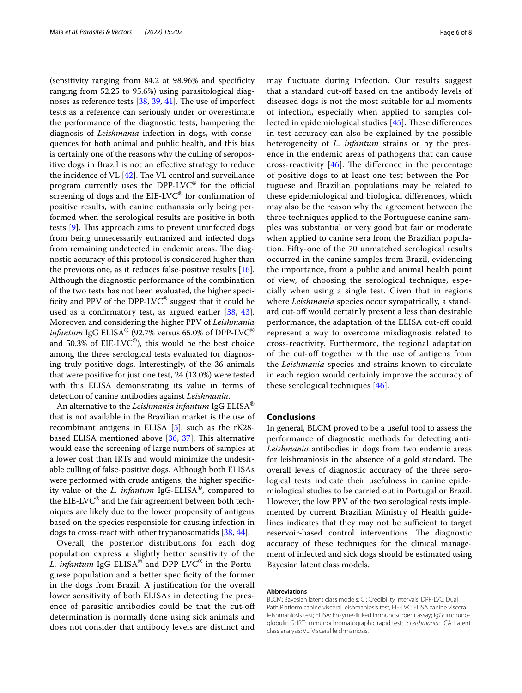(sensitivity ranging from 84.2 at 98.96% and specifcity ranging from 52.25 to 95.6%) using parasitological diagnoses as reference tests  $[38, 39, 41]$  $[38, 39, 41]$  $[38, 39, 41]$  $[38, 39, 41]$  $[38, 39, 41]$ . The use of imperfect tests as a reference can seriously under or overestimate the performance of the diagnostic tests, hampering the diagnosis of *Leishmania* infection in dogs, with consequences for both animal and public health, and this bias is certainly one of the reasons why the culling of seropositive dogs in Brazil is not an efective strategy to reduce the incidence of VL  $[42]$ . The VL control and surveillance program currently uses the DPP-LV $C^{\circ}$  for the official screening of dogs and the EIE-LVC® for confrmation of positive results, with canine euthanasia only being performed when the serological results are positive in both tests  $[9]$  $[9]$ . This approach aims to prevent uninfected dogs from being unnecessarily euthanized and infected dogs from remaining undetected in endemic areas. The diagnostic accuracy of this protocol is considered higher than the previous one, as it reduces false-positive results  $[16]$  $[16]$ . Although the diagnostic performance of the combination of the two tests has not been evaluated, the higher specificity and PPV of the DPP-LVC<sup>®</sup> suggest that it could be used as a confrmatory test, as argued earlier [\[38,](#page-7-18) [43](#page-7-23)]. Moreover, and considering the higher PPV of *Leishmania infantum* IgG ELISA® (92.7% versus 65.0% of DPP-LVC® and 50.3% of  $EIE-LVC^{\circledcirc}$ ), this would be the best choice among the three serological tests evaluated for diagnosing truly positive dogs. Interestingly, of the 36 animals that were positive for just one test, 24 (13.0%) were tested with this ELISA demonstrating its value in terms of detection of canine antibodies against *Leishmania*.

An alternative to the *Leishmania infantum* IgG ELISA® that is not available in the Brazilian market is the use of recombinant antigens in ELISA [[5](#page-6-4)], such as the rK28 based ELISA mentioned above  $[36, 37]$  $[36, 37]$  $[36, 37]$ . This alternative would ease the screening of large numbers of samples at a lower cost than IRTs and would minimize the undesirable culling of false-positive dogs. Although both ELISAs were performed with crude antigens, the higher specifcity value of the *L. infantum* IgG-ELISA®, compared to the EIE-LVC $^{\circledR}$  and the fair agreement between both techniques are likely due to the lower propensity of antigens based on the species responsible for causing infection in dogs to cross-react with other trypanosomatids [[38](#page-7-18), [44\]](#page-7-24).

Overall, the posterior distributions for each dog population express a slightly better sensitivity of the *L. infantum* IgG-ELISA® and DPP-LVC® in the Portuguese population and a better specifcity of the former in the dogs from Brazil. A justifcation for the overall lower sensitivity of both ELISAs in detecting the presence of parasitic antibodies could be that the cut-of determination is normally done using sick animals and does not consider that antibody levels are distinct and may fuctuate during infection. Our results suggest that a standard cut-of based on the antibody levels of diseased dogs is not the most suitable for all moments of infection, especially when applied to samples collected in epidemiological studies  $[45]$  $[45]$  $[45]$ . These differences in test accuracy can also be explained by the possible heterogeneity of *L. infantum* strains or by the presence in the endemic areas of pathogens that can cause cross-reactivity  $[46]$  $[46]$ . The difference in the percentage of positive dogs to at least one test between the Portuguese and Brazilian populations may be related to these epidemiological and biological diferences, which may also be the reason why the agreement between the three techniques applied to the Portuguese canine samples was substantial or very good but fair or moderate when applied to canine sera from the Brazilian population. Fifty-one of the 70 unmatched serological results occurred in the canine samples from Brazil, evidencing the importance, from a public and animal health point of view, of choosing the serological technique, especially when using a single test. Given that in regions where *Leishmania* species occur sympatrically, a standard cut-of would certainly present a less than desirable performance, the adaptation of the ELISA cut-off could represent a way to overcome misdiagnosis related to cross-reactivity. Furthermore, the regional adaptation of the cut-off together with the use of antigens from the *Leishmania* species and strains known to circulate in each region would certainly improve the accuracy of these serological techniques [[46\]](#page-7-26).

# **Conclusions**

In general, BLCM proved to be a useful tool to assess the performance of diagnostic methods for detecting anti-*Leishmania* antibodies in dogs from two endemic areas for leishmaniosis in the absence of a gold standard. The overall levels of diagnostic accuracy of the three serological tests indicate their usefulness in canine epidemiological studies to be carried out in Portugal or Brazil. However, the low PPV of the two serological tests implemented by current Brazilian Ministry of Health guidelines indicates that they may not be sufficient to target reservoir-based control interventions. The diagnostic accuracy of these techniques for the clinical management of infected and sick dogs should be estimated using Bayesian latent class models.

### **Abbreviations**

BLCM: Bayesian latent class models; CI: Credibility intervals; DPP-LVC: Dual Path Platform canine visceral leishmaniosis test; EIE-LVC: ELISA canine visceral leishmaniosis test; ELISA: Enzyme-linked immunosorbent assay; IgG: Immunoglobulin G; IRT: Immunochromatographic rapid test; L: *Leishmania*; LCA: Latent class analysis; VL: Visceral leishmaniosis.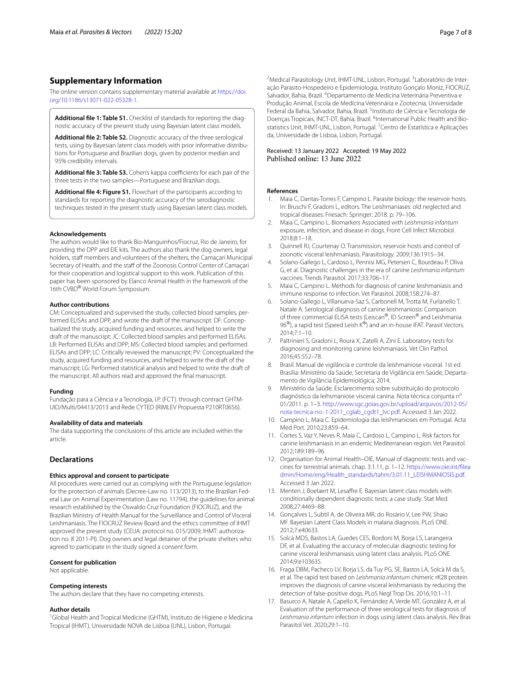# **Supplementary Information**

The online version contains supplementary material available at [https://doi.](https://doi.org/10.1186/s13071-022-05328-1) [org/10.1186/s13071-022-05328-1](https://doi.org/10.1186/s13071-022-05328-1).

<span id="page-6-19"></span><span id="page-6-16"></span>**Additional fle 1: Table S1.** Checklist of standards for reporting the diagnostic accuracy of the present study using Bayesian latent class models.

**Additional fle 2: Table S2.** Diagnostic accuracy of the three serological tests, using by Bayesian latent class models with prior informative distributions for Portuguese and Brazilian dogs, given by posterior median and 95% credibility intervals.

<span id="page-6-20"></span><span id="page-6-17"></span>Additional file 3: Table S3. Cohen's kappa coefficients for each pair of the three tests in the two samples—Portuguese and Brazilian dogs.

**Additional fle 4: Figure S1.** Flowchart of the participants according to standards for reporting the diagnostic accuracy of the serodiagnostic techniques tested in the present study using Bayesian latent class models.

#### **Acknowledgements**

The authors would like to thank Bio-Manguinhos/Fiocruz, Rio de Janeiro, for providing the DPP and EIE kits. The authors also thank the dog owners, legal holders, staff members and volunteers of the shelters, the Camaçari Municipal Secretary of Health, and the staff of the Zoonosis Control Center of Camaçari for their cooperation and logistical support to this work. Publication of this paper has been sponsored by Elanco Animal Health in the framework of the 16th CVBD® World Forum Symposium.

### **Author contributions**

CM: Conceptualized and supervised the study, collected blood samples, performed ELISAs and DPP, and wrote the draft of the manuscript. DF: Conceptualized the study, acquired funding and resources, and helped to write the draft of the manuscript; JC: Collected blood samples and performed ELISAs. LB: Performed ELISAs and DPP; MS: Collected blood samples and performed ELISAs and DPP; LC: Critically reviewed the manuscript; PV: Conceptualized the study, acquired funding and resources, and helped to write the draft of the manuscript; LG: Performed statistical analysis and helped to write the draft of the manuscript. All authors read and approved the fnal manuscript.

#### **Funding**

Fundação para a Ciência e a Tecnologia, I.P. (FCT). through contract GHTM-UID/Multi/04413/2013 and Rede CYTED (RIMLEV Propuesta P210RT0656).

#### **Availability of data and materials**

The data supporting the conclusions of this article are included within the article.

# **Declarations**

### **Ethics approval and consent to participate**

All procedures were carried out as complying with the Portuguese legislation for the protection of animals (Decree-Law no. 113/2013), to the Brazilian Federal Law on Animal Experimentation (Law no. 11794), the guidelines for animal research established by the Oswaldo Cruz Foundation (FIOCRUZ), and the Brazilian Ministry of Health Manual for the Surveillance and Control of Visceral Leishmaniasis. The FIOCRUZ Review Board and the ethics committee of IHMT approved the present study (CEUA: protocol no. 015/2009; IHMT: authorization no. 8 2011-PI). Dog owners and legal detainer of the private shelters who agreed to participate in the study signed a consent form.

#### **Consent for publication**

Not applicable.

#### **Competing interests**

The authors declare that they have no competing interests.

#### **Author details**

<sup>1</sup>Global Health and Tropical Medicine (GHTM), Instituto de Higiene e Medicina Tropical (IHMT), Universidade NOVA de Lisboa (UNL), Lisbon, Portugal.

<sup>2</sup> Medical Parasitology Unit, IHMT-UNL, Lisbon, Portugal. <sup>3</sup> Laboratório de Interação Parasito-Hospedeiro e Epidemiologia, Instituto Gonçalo Moniz, FIOCRUZ, Salvador, Bahia, Brazil. <sup>4</sup> Departamento de Medicina Veterinária Preventiva e Produção Animal, Escola de Medicina Veterinária e Zootecnia, Universidade Federal da Bahia, Salvador, Bahia, Brazil. <sup>5</sup>Instituto de Ciência e Tecnologia de Doenças Tropicais, INCT-DT, Bahia, Brazil. <sup>6</sup>International Public Health and Biostatistics Unit, IHMT-UNL, Lisbon, Portugal. <sup>7</sup> Centro de Estatística e Aplicações da, Universidade de Lisboa, Lisbon, Portugal.

### Received: 13 January 2022 Accepted: 19 May 2022 Published online: 13 June 2022

#### **References**

- <span id="page-6-0"></span>1. Maia C, Dantas-Torres F, Campino L. Parasite biology: the reservoir hosts. In: Bruschi F, Gradoni L, editors. The Leishmaniases: old neglected and tropical diseases. Friesach: Springer; 2018. p. 79–106.
- <span id="page-6-1"></span>2. Maia C, Campino L. Biomarkers Associated with *Leishmania infantum* exposure, infection, and disease in dogs. Front Cell Infect Microbiol. 2018;8:1–18.
- <span id="page-6-2"></span>3. Quinnell RJ, Courtenay O. Transmission, reservoir hosts and control of zoonotic visceral leishmaniasis. Parasitology. 2009;136:1915–34.
- <span id="page-6-3"></span>4. Solano-Gallego L, Cardoso L, Pennisi MG, Petersen C, Bourdeau P, Oliva G, et al. Diagnostic challenges in the era of canine *Leishmania infantum* vaccines. Trends Parasitol. 2017;33:706–17.
- <span id="page-6-4"></span>Maia C, Campino L. Methods for diagnosis of canine leishmaniasis and immune response to infection. Vet Parasitol. 2008;158:274–87.
- <span id="page-6-5"></span>6. Solano-Gallego L, Villanueva-Saz S, Carbonell M, Trotta M, Furlanello T, Natale A. Serological diagnosis of canine leishmaniosis: Comparison of three commercial ELISA tests (Leiscan®, ID Screen® and Leishmania 96<sup>®</sup>), a rapid test (Speed Leish K®) and an in-house IFAT. Parasit Vectors. 2014;7:1–10.
- <span id="page-6-6"></span>7. Paltrinieri S, Gradoni L, Roura X, Zatelli A, Zini E. Laboratory tests for diagnosing and monitoring canine leishmaniasis. Vet Clin Pathol. 2016;45:552–78.
- <span id="page-6-7"></span>8. Brasil. Manual de vigilância e controle da leishmaniose visceral. 1st ed. Brasília: Ministério da Saúde, Secretaria de Vigilância em Saúde, Departamento de Vigilância Epidemiológica; 2014.
- <span id="page-6-8"></span>9. Ministério da Saúde. Esclarecimento sobre substituição do protocolo diagnóstico da leihsmaniose visceral canina. Nota técnica conjunta nº 01/2011. p. 1–3. [http://www.sgc.goias.gov.br/upload/arquivos/2012-05/](http://www.sgc.goias.gov.br/upload/arquivos/2012-05/nota-tecnica-no.-1-2011_cglab_cgdt1_lvc.pdf) [nota-tecnica-no.-1-2011\\_cglab\\_cgdt1\\_lvc.pdf](http://www.sgc.goias.gov.br/upload/arquivos/2012-05/nota-tecnica-no.-1-2011_cglab_cgdt1_lvc.pdf). Accessed 3 Jan 2022.
- <span id="page-6-9"></span>10. Campino L, Maia C. Epidemiologia das leishmanioses em Portugal. Acta Med Port. 2010;23:859–64.
- <span id="page-6-10"></span>11. Cortes S, Vaz Y, Neves R, Maia C, Cardoso L, Campino L. Risk factors for canine leishmaniasis in an endemic Mediterranean region. Vet Parasitol. 2012;189:189–96.
- <span id="page-6-11"></span>12. Organisation for Animal Health–OIE, Manual of diagnostic tests and vaccines for terrestrial animals. chap. 3.1.11, p. 1–12. [https://www.oie.int/flea](https://www.oie.int/fileadmin/Home/eng/Health_standards/tahm/3.01.11_LEISHMANIOSIS.pdf) [dmin/Home/eng/Health\\_standards/tahm/3.01.11\\_LEISHMANIOSIS.pdf.](https://www.oie.int/fileadmin/Home/eng/Health_standards/tahm/3.01.11_LEISHMANIOSIS.pdf) Accessed 3 Jan 2022.
- <span id="page-6-12"></span>13. Menten J, Boelaert M, Lesafre E. Bayesian latent class models with conditionally dependent diagnostic tests: a case study. Stat Med. 2008;27:4469–88.
- <span id="page-6-13"></span>14. Gonçalves L, Subtil A, de Oliveira MR, do Rosário V, Lee PW, Shaio MF. Bayesian Latent Class Models in malaria diagnosis. PLoS ONE. 2012;7:e40633.
- <span id="page-6-14"></span>15. Solcà MDS, Bastos LA, Guedes CES, Bordoni M, Borja LS, Larangeira DF, et al. Evaluating the accuracy of molecular diagnostic testing for canine visceral leishmaniasis using latent class analysis. PLoS ONE. 2014;9:e103635.
- <span id="page-6-15"></span>16. Fraga DBM, Pacheco LV, Borja LS, da Tuy PG, SE, Bastos LA, Solcà M da S, et al. The rapid test based on *Leishmania infantum* chimeric rK28 protein improves the diagnosis of canine visceral leishmaniasis by reducing the detection of false-positive dogs. PLoS Negl Trop Dis. 2016;10:1–11.
- <span id="page-6-18"></span>17. Basurco A, Natale A, Capello K, Fernández A, Verde MT, González A, et al. Evaluation of the performance of three serological tests for diagnosis of *Leishmania infantum* infection in dogs using latent class analysis. Rev Bras Parasitol Vet. 2020;29:1–10.